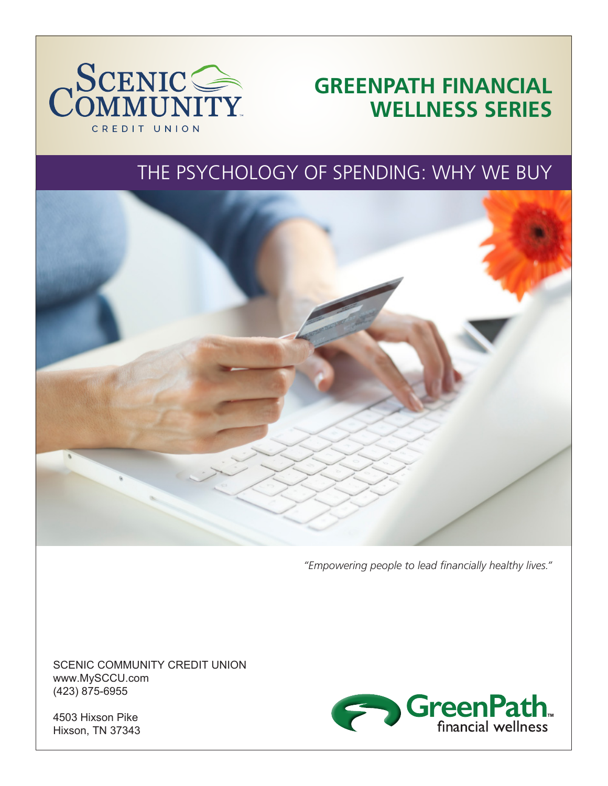

# **GREENPATH FINANCIAL WELLNESS SERIES**

# THE PSYCHOLOGY OF SPENDING: WHY WE BUY



*"Empowering people to lead financially healthy lives."*

SCENIC COMMUNITY CREDIT UNION www.MySCCU.com (423) 875-6955

4503 Hixson Pike Hixson, TN 37343

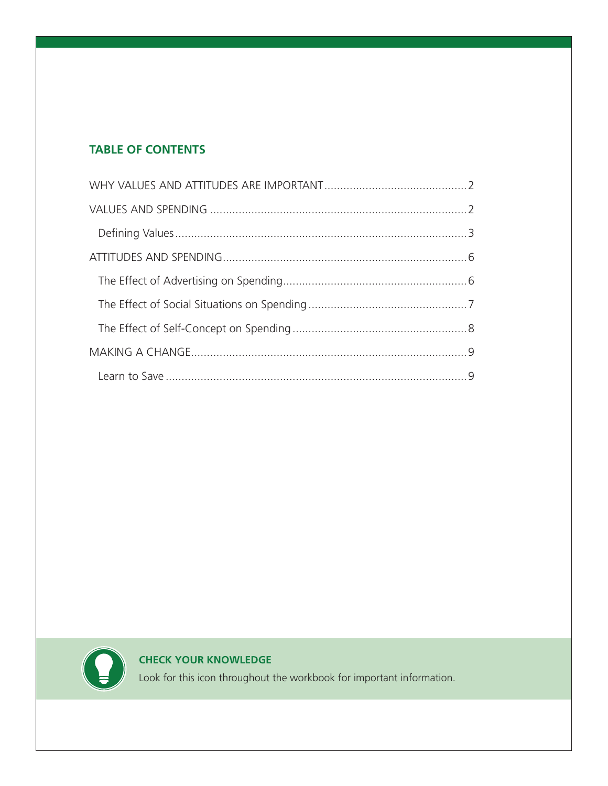### **TABLE OF CONTENTS**



**CHECK YOUR KNOWLEDGE**

Look for this icon throughout the workbook for important information.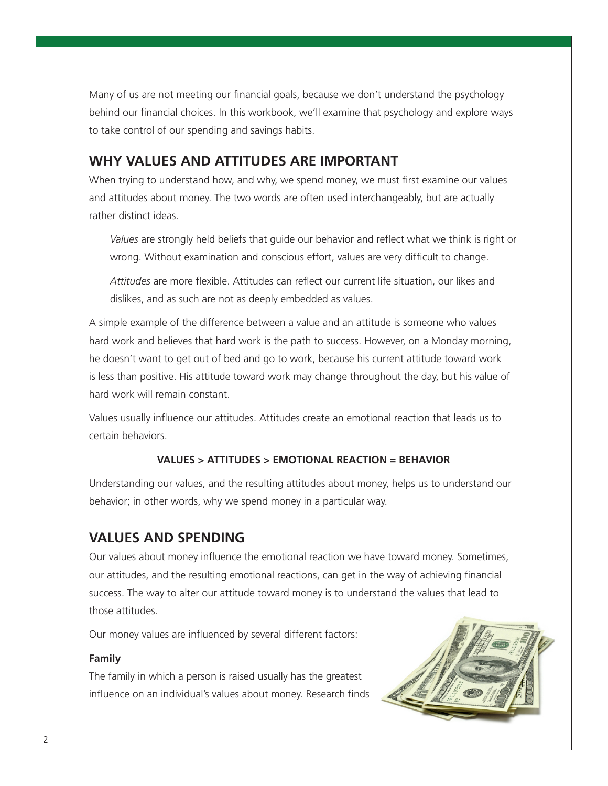Many of us are not meeting our financial goals, because we don't understand the psychology behind our financial choices. In this workbook, we'll examine that psychology and explore ways to take control of our spending and savings habits.

### **WHY VALUES AND ATTITUDES ARE IMPORTANT**

When trying to understand how, and why, we spend money, we must first examine our values and attitudes about money. The two words are often used interchangeably, but are actually rather distinct ideas.

 *Values* are strongly held beliefs that guide our behavior and reflect what we think is right or wrong. Without examination and conscious effort, values are very difficult to change.

 *Attitudes* are more flexible. Attitudes can reflect our current life situation, our likes and dislikes, and as such are not as deeply embedded as values.

A simple example of the difference between a value and an attitude is someone who values hard work and believes that hard work is the path to success. However, on a Monday morning, he doesn't want to get out of bed and go to work, because his current attitude toward work is less than positive. His attitude toward work may change throughout the day, but his value of hard work will remain constant.

Values usually influence our attitudes. Attitudes create an emotional reaction that leads us to certain behaviors.

#### **VALUES > ATTITUDES > EMOTIONAL REACTION = BEHAVIOR**

Understanding our values, and the resulting attitudes about money, helps us to understand our behavior; in other words, why we spend money in a particular way.

### **VALUES AND SPENDING**

Our values about money influence the emotional reaction we have toward money. Sometimes, our attitudes, and the resulting emotional reactions, can get in the way of achieving financial success. The way to alter our attitude toward money is to understand the values that lead to those attitudes.

Our money values are influenced by several different factors:

#### **Family**

The family in which a person is raised usually has the greatest influence on an individual's values about money. Research finds

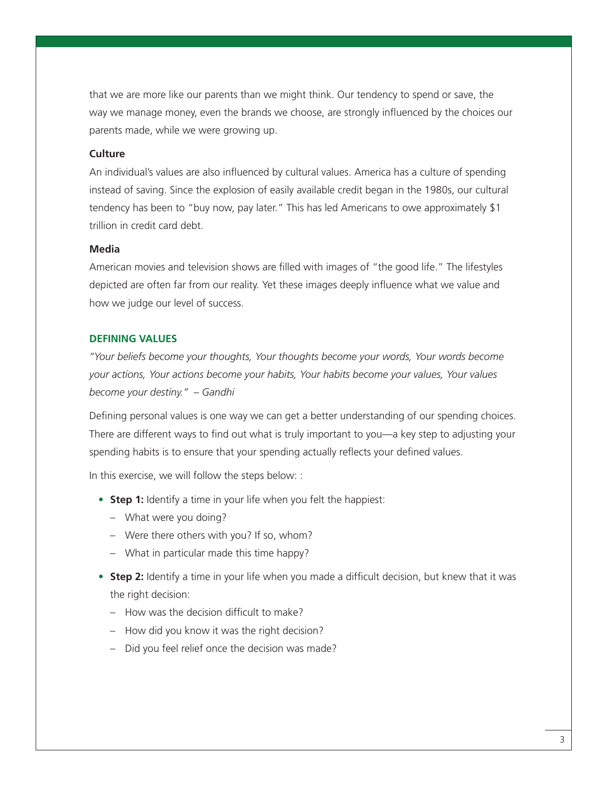that we are more like our parents than we might think. Our tendency to spend or save, the way we manage money, even the brands we choose, are strongly influenced by the choices our parents made, while we were growing up.

#### **Culture**

An individual's values are also influenced by cultural values. America has a culture of spending instead of saving. Since the explosion of easily available credit began in the 1980s, our cultural tendency has been to "buy now, pay later." This has led Americans to owe approximately \$1 trillion in credit card debt.

#### **Media**

American movies and television shows are filled with images of "the good life." The lifestyles depicted are often far from our reality. Yet these images deeply influence what we value and how we judge our level of success.

#### **DEFINING VALUES**

*"Your beliefs become your thoughts, Your thoughts become your words, Your words become your actions, Your actions become your habits, Your habits become your values, Your values become your destiny." – Gandhi* 

Defining personal values is one way we can get a better understanding of our spending choices. There are different ways to find out what is truly important to you—a key step to adjusting your spending habits is to ensure that your spending actually reflects your defined values.

In this exercise, we will follow the steps below: :

- **Step 1:** Identify a time in your life when you felt the happiest:
	- What were you doing?
	- Were there others with you? If so, whom?
	- What in particular made this time happy?
- **Step 2:** Identify a time in your life when you made a difficult decision, but knew that it was the right decision:
	- How was the decision difficult to make?
	- How did you know it was the right decision?
	- Did you feel relief once the decision was made?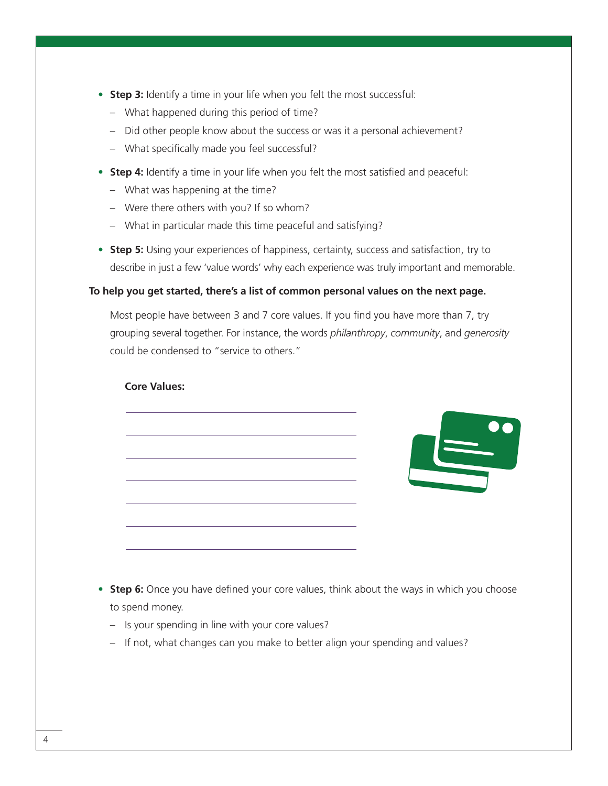- **Step 3:** Identify a time in your life when you felt the most successful:
	- What happened during this period of time?
	- Did other people know about the success or was it a personal achievement?
	- What specifically made you feel successful?
- **Step 4:** Identify a time in your life when you felt the most satisfied and peaceful:
	- What was happening at the time?

**Core Values:** 

- Were there others with you? If so whom?
- What in particular made this time peaceful and satisfying?
- **Step 5:** Using your experiences of happiness, certainty, success and satisfaction, try to describe in just a few 'value words' why each experience was truly important and memorable.

#### **To help you get started, there's a list of common personal values on the next page.**

 Most people have between 3 and 7 core values. If you find you have more than 7, try grouping several together. For instance, the words *philanthropy*, *community*, and *generosity* could be condensed to "service to others."

- **Step 6:** Once you have defined your core values, think about the ways in which you choose to spend money.
	- Is your spending in line with your core values?
	- If not, what changes can you make to better align your spending and values?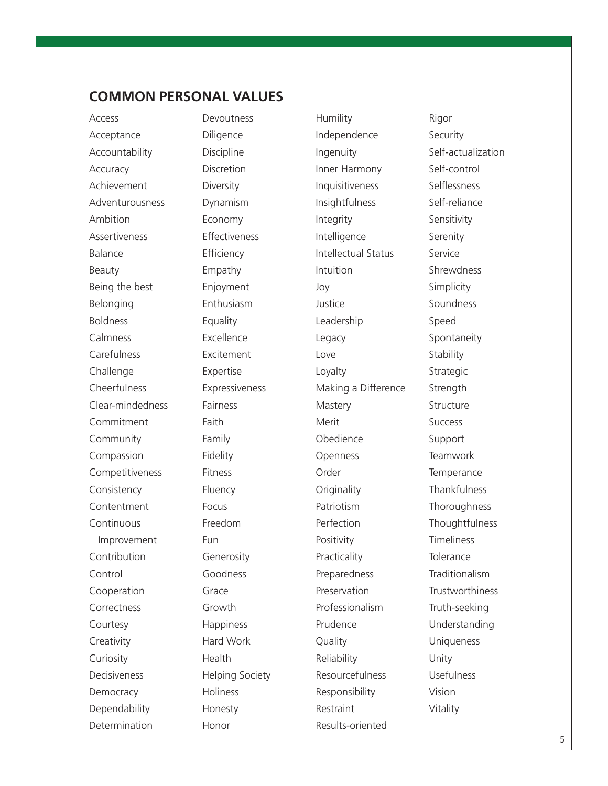### **COMMON PERSONAL VALUES**

Access Acceptance Accountability **Accuracy** Achievement Adventurousness Ambition Assertiveness Balance Beauty Being the best Belonging Boldness Calmness Carefulness Challenge **Cheerfulness** Clear-mindedness Commitment Community Compassion Competitiveness **Consistency** Contentment Continuous Improvement Contribution Control Cooperation **Correctness** Courtesy **Creativity** Curiosity Decisiveness **Democracy Dependability** Determination

Devoutness Diligence **Discipline Discretion Diversity** Dynamism Economy Effectiveness **Efficiency** Empathy Enjoyment Enthusiasm Equality Excellence **Excitement** Expertise Expressiveness Fairness Faith Family Fidelity Fitness Fluency Focus Freedom Fun Generosity Goodness Grace Growth **Happiness** Hard Work Health Helping Society **Holiness** Honesty Honor

Humility Independence Ingenuity Inner Harmony Inquisitiveness Insightfulness Integrity Intelligence Intellectual Status Intuition Joy Justice Leadership Legacy Love Loyalty Making a Difference **Mastery** Merit Obedience Openness Order **Originality** Patriotism **Perfection** Positivity Practicality **Preparedness** Preservation Professionalism Prudence Quality Reliability Resourcefulness Responsibility Restraint Results-oriented

Rigor Security Self-actualization Self-control Selflessness Self-reliance Sensitivity Serenity Service **Shrewdness** Simplicity **Soundness** Speed Spontaneity **Stability** Strategic **Strength Structure** Success Support **Teamwork Temperance Thankfulness Thoroughness Thoughtfulness Timeliness** Tolerance **Traditionalism Trustworthiness** Truth-seeking Understanding Uniqueness Unity Usefulness Vision Vitality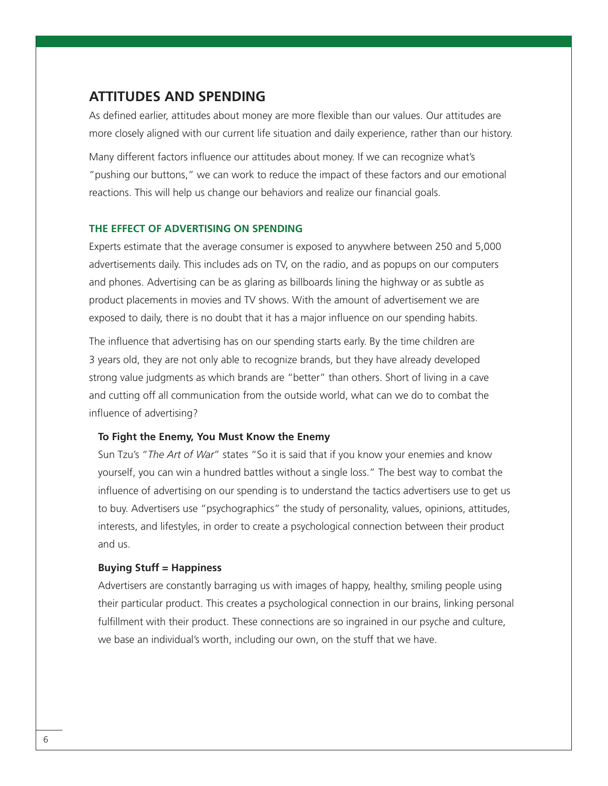### **ATTITUDES AND SPENDING**

As defined earlier, attitudes about money are more flexible than our values. Our attitudes are more closely aligned with our current life situation and daily experience, rather than our history.

Many different factors influence our attitudes about money. If we can recognize what's "pushing our buttons," we can work to reduce the impact of these factors and our emotional reactions. This will help us change our behaviors and realize our financial goals.

#### **THE EFFECT OF ADVERTISING ON SPENDING**

Experts estimate that the average consumer is exposed to anywhere between 250 and 5,000 advertisements daily. This includes ads on TV, on the radio, and as popups on our computers and phones. Advertising can be as glaring as billboards lining the highway or as subtle as product placements in movies and TV shows. With the amount of advertisement we are exposed to daily, there is no doubt that it has a major influence on our spending habits.

The influence that advertising has on our spending starts early. By the time children are 3 years old, they are not only able to recognize brands, but they have already developed strong value judgments as which brands are "better" than others. Short of living in a cave and cutting off all communication from the outside world, what can we do to combat the influence of advertising?

#### **To Fight the Enemy, You Must Know the Enemy**

Sun Tzu's "*The Art of War*" states "So it is said that if you know your enemies and know yourself, you can win a hundred battles without a single loss." The best way to combat the influence of advertising on our spending is to understand the tactics advertisers use to get us to buy. Advertisers use "psychographics" the study of personality, values, opinions, attitudes, interests, and lifestyles, in order to create a psychological connection between their product and us.

#### **Buying Stuff = Happiness**

Advertisers are constantly barraging us with images of happy, healthy, smiling people using their particular product. This creates a psychological connection in our brains, linking personal fulfillment with their product. These connections are so ingrained in our psyche and culture, we base an individual's worth, including our own, on the stuff that we have.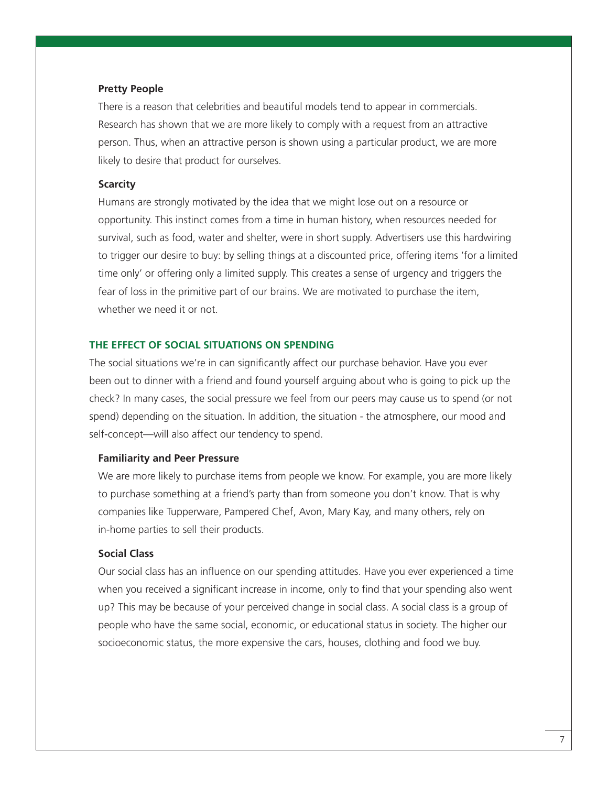#### **Pretty People**

There is a reason that celebrities and beautiful models tend to appear in commercials. Research has shown that we are more likely to comply with a request from an attractive person. Thus, when an attractive person is shown using a particular product, we are more likely to desire that product for ourselves.

#### **Scarcity**

Humans are strongly motivated by the idea that we might lose out on a resource or opportunity. This instinct comes from a time in human history, when resources needed for survival, such as food, water and shelter, were in short supply. Advertisers use this hardwiring to trigger our desire to buy: by selling things at a discounted price, offering items 'for a limited time only' or offering only a limited supply. This creates a sense of urgency and triggers the fear of loss in the primitive part of our brains. We are motivated to purchase the item, whether we need it or not.

#### **THE EFFECT OF SOCIAL SITUATIONS ON SPENDING**

The social situations we're in can significantly affect our purchase behavior. Have you ever been out to dinner with a friend and found yourself arguing about who is going to pick up the check? In many cases, the social pressure we feel from our peers may cause us to spend (or not spend) depending on the situation. In addition, the situation - the atmosphere, our mood and self-concept—will also affect our tendency to spend.

#### **Familiarity and Peer Pressure**

We are more likely to purchase items from people we know. For example, you are more likely to purchase something at a friend's party than from someone you don't know. That is why companies like Tupperware, Pampered Chef, Avon, Mary Kay, and many others, rely on in-home parties to sell their products.

#### **Social Class**

Our social class has an influence on our spending attitudes. Have you ever experienced a time when you received a significant increase in income, only to find that your spending also went up? This may be because of your perceived change in social class. A social class is a group of people who have the same social, economic, or educational status in society. The higher our socioeconomic status, the more expensive the cars, houses, clothing and food we buy.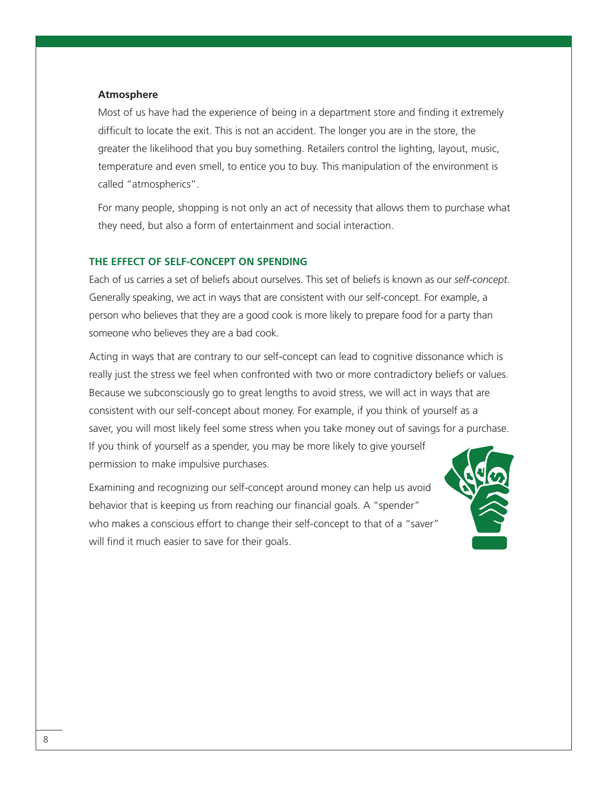#### **Atmosphere**

Most of us have had the experience of being in a department store and finding it extremely difficult to locate the exit. This is not an accident. The longer you are in the store, the greater the likelihood that you buy something. Retailers control the lighting, layout, music, temperature and even smell, to entice you to buy. This manipulation of the environment is called "atmospherics".

For many people, shopping is not only an act of necessity that allows them to purchase what they need, but also a form of entertainment and social interaction.

#### **THE EFFECT OF SELF-CONCEPT ON SPENDING**

Each of us carries a set of beliefs about ourselves. This set of beliefs is known as our *self-concept*. Generally speaking, we act in ways that are consistent with our self-concept. For example, a person who believes that they are a good cook is more likely to prepare food for a party than someone who believes they are a bad cook.

Acting in ways that are contrary to our self-concept can lead to cognitive dissonance which is really just the stress we feel when confronted with two or more contradictory beliefs or values. Because we subconsciously go to great lengths to avoid stress, we will act in ways that are consistent with our self-concept about money. For example, if you think of yourself as a saver, you will most likely feel some stress when you take money out of savings for a purchase. If you think of yourself as a spender, you may be more likely to give yourself permission to make impulsive purchases.

Examining and recognizing our self-concept around money can help us avoid behavior that is keeping us from reaching our financial goals. A "spender" who makes a conscious effort to change their self-concept to that of a "saver" will find it much easier to save for their goals.

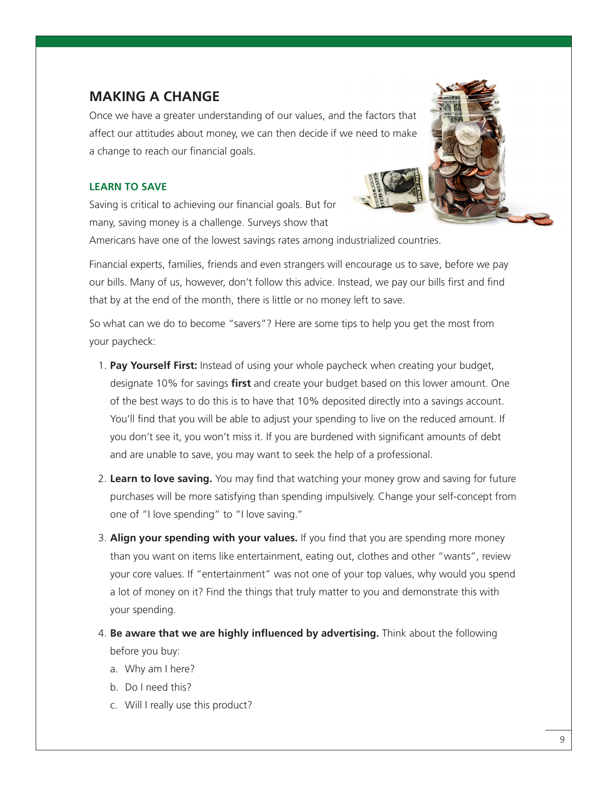## **MAKING A CHANGE**

Once we have a greater understanding of our values, and the factors that affect our attitudes about money, we can then decide if we need to make a change to reach our financial goals.

### **LEARN TO SAVE**

Saving is critical to achieving our financial goals. But for many, saving money is a challenge. Surveys show that



Americans have one of the lowest savings rates among industrialized countries.

Financial experts, families, friends and even strangers will encourage us to save, before we pay our bills. Many of us, however, don't follow this advice. Instead, we pay our bills first and find that by at the end of the month, there is little or no money left to save.

So what can we do to become "savers"? Here are some tips to help you get the most from your paycheck:

- 1. **Pay Yourself First:** Instead of using your whole paycheck when creating your budget, designate 10% for savings **first** and create your budget based on this lower amount. One of the best ways to do this is to have that 10% deposited directly into a savings account. You'll find that you will be able to adjust your spending to live on the reduced amount. If you don't see it, you won't miss it. If you are burdened with significant amounts of debt and are unable to save, you may want to seek the help of a professional.
- 2. **Learn to love saving.** You may find that watching your money grow and saving for future purchases will be more satisfying than spending impulsively. Change your self-concept from one of "I love spending" to "I love saving."
- 3. **Align your spending with your values.** If you find that you are spending more money than you want on items like entertainment, eating out, clothes and other "wants", review your core values. If "entertainment" was not one of your top values, why would you spend a lot of money on it? Find the things that truly matter to you and demonstrate this with your spending.
- 4. **Be aware that we are highly influenced by advertising.** Think about the following before you buy:
	- a. Why am I here?
	- b. Do I need this?
	- c. Will I really use this product?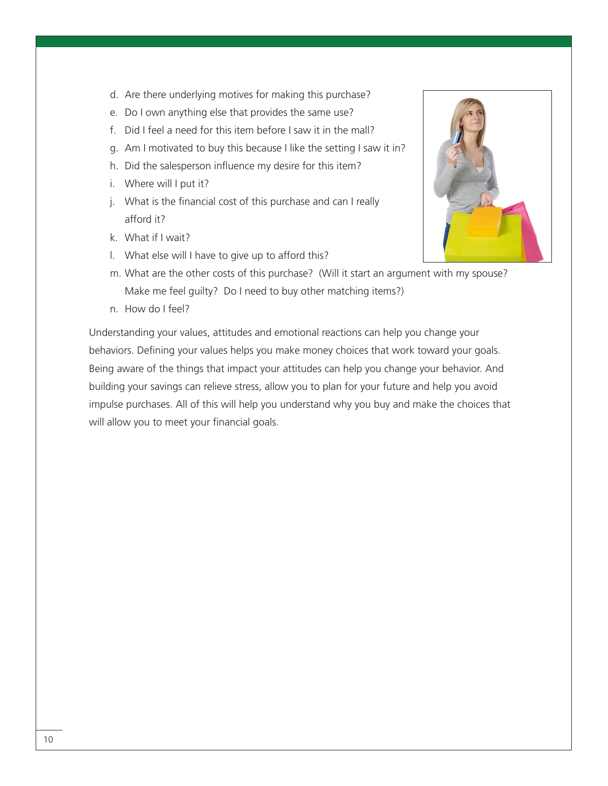- d. Are there underlying motives for making this purchase?
- e. Do I own anything else that provides the same use?
- f. Did I feel a need for this item before I saw it in the mall?
- g. Am I motivated to buy this because I like the setting I saw it in?
- h. Did the salesperson influence my desire for this item?
- i. Where will I put it?

 $\overline{\phantom{a}}$ 

- j. What is the financial cost of this purchase and can I really afford it?
- k. What if I wait?
- l. What else will I have to give up to afford this?
- m. What are the other costs of this purchase? (Will it start an argument with my spouse? Make me feel guilty? Do I need to buy other matching items?)
- n. How do I feel?

Understanding your values, attitudes and emotional reactions can help you change your behaviors. Defining your values helps you make money choices that work toward your goals. Being aware of the things that impact your attitudes can help you change your behavior. And building your savings can relieve stress, allow you to plan for your future and help you avoid impulse purchases. All of this will help you understand why you buy and make the choices that will allow you to meet your financial goals.